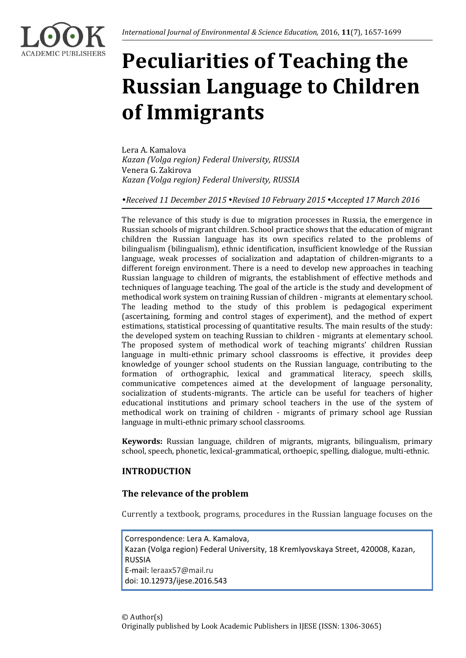

# **Peculiarities of Teaching the Russian Language to Children of Immigrants**

Lera A. Kamalova *Kazan (Volga region) Federal University, RUSSIA* Venera G. Zakirova *Kazan (Volga region) Federal University, RUSSIA*

*Received 11 December 2015 Revised 10 February 2015 Accepted 17 March 2016*

The relevance of this study is due to migration processes in Russia, the emergence in Russian schools of migrant children. School practice shows that the education of migrant children the Russian language has its own specifics related to the problems of bilingualism (bilingualism), ethnic identification, insufficient knowledge of the Russian language, weak processes of socialization and adaptation of children-migrants to a different foreign environment. There is a need to develop new approaches in teaching Russian language to children of migrants, the establishment of effective methods and techniques of language teaching. The goal of the article is the study and development of methodical work system on training Russian of children - migrants at elementary school. The leading method to the study of this problem is pedagogical experiment (ascertaining, forming and control stages of experiment), and the method of expert estimations, statistical processing of quantitative results. The main results of the study: the developed system on teaching Russian to children - migrants at elementary school. The proposed system of methodical work of teaching migrants' children Russian language in multi-ethnic primary school classrooms is effective, it provides deep knowledge of younger school students on the Russian language, contributing to the formation of orthographic, lexical and grammatical literacy, speech skills, communicative competences aimed at the development of language personality, socialization of students-migrants. The article can be useful for teachers of higher educational institutions and primary school teachers in the use of the system of methodical work on training of children - migrants of primary school age Russian language in multi-ethnic primary school classrooms.

**Keywords:** Russian language, children of migrants, migrants, bilingualism, primary school, speech, phonetic, lexical-grammatical, orthoepic, spelling, dialogue, multi-ethnic.

# **INTRODUCTION**

# **The relevance of the problem**

Currently a textbook, programs, procedures in the Russian language focuses on the

Correspondence: Lera A. Kamalova, Kazan (Volga region) Federal University, 18 Kremlyovskaya Street, 420008, Kazan, RUSSIA E-mail: leraax57@mail.ru doi: 10.12973/ijese.2016.543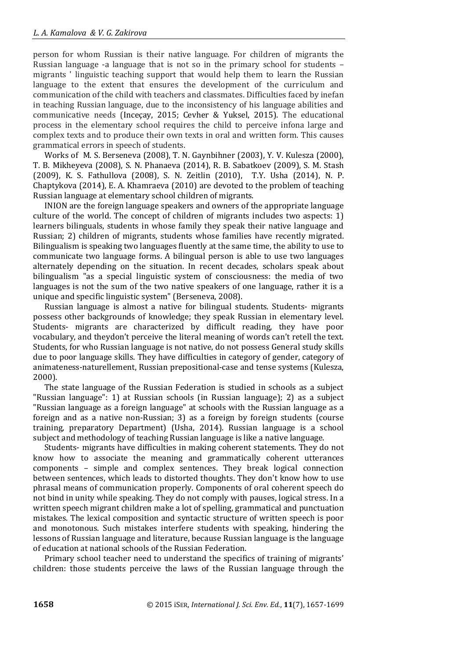person for whom Russian is their native language. For children of migrants the Russian language -a language that is not so in the primary school for students – migrants ' linguistic teaching support that would help them to learn the Russian language to the extent that ensures the development of the curriculum and communication of the child with teachers and classmates. Difficulties faced by inefan in teaching Russian language, due to the inconsistency of his language abilities and communicative needs (Inceçay, 2015; Cevher & Yuksel, 2015). The educational process in the elementary school requires the child to perceive infona large and complex texts and to produce their own texts in oral and written form. This causes grammatical errors in speech of students.

Works of M. S. Berseneva (2008), T. N. Gaynbihner (2003), Y. V. Kulesza (2000), T. B. Mikheyeva (2008), S. N. Phanaeva (2014), R. B. Sabatkoev (2009), S. M. Stash (2009), K. S. Fathullova (2008), S. N. Zeitlin (2010), T.Y. Usha (2014), N. P. Chaptykova (2014), E. A. Khamraeva (2010) are devoted to the problem of teaching Russian language at elementary school children of migrants.

INION are the foreign language speakers and owners of the appropriate language culture of the world. The concept of children of migrants includes two aspects: 1) learners bilinguals, students in whose family they speak their native language and Russian; 2) children of migrants, students whose families have recently migrated. Bilingualism is speaking two languages fluently at the same time, the ability to use to communicate two language forms. A bilingual person is able to use two languages alternately depending on the situation. In recent decades, scholars speak about bilingualism "as a special linguistic system of consciousness: the media of two languages is not the sum of the two native speakers of one language, rather it is a unique and specific linguistic system" (Berseneva, 2008).

Russian language is almost a native for bilingual students. Students- migrants possess other backgrounds of knowledge; they speak Russian in elementary level. Students- migrants are characterized by difficult reading, they have poor vocabulary, and theydon't perceive the literal meaning of words can't retell the text. Students, for who Russian language is not native, do not possess General study skills due to poor language skills. They have difficulties in category of gender, category of animateness-naturellement, Russian prepositional-case and tense systems (Kulesza, 2000).

The state language of the Russian Federation is studied in schools as a subject "Russian language": 1) at Russian schools (in Russian language); 2) as a subject "Russian language as a foreign language" at schools with the Russian language as a foreign and as a native non-Russian; 3) as a foreign by foreign students (course training, preparatory Department) (Usha, 2014). Russian language is a school subject and methodology of teaching Russian language is like a native language.

Students- migrants have difficulties in making coherent statements. They do not know how to associate the meaning and grammatically coherent utterances components – simple and complex sentences. They break logical connection between sentences, which leads to distorted thoughts. They don't know how to use phrasal means of communication properly. Components of oral coherent speech do not bind in unity while speaking. They do not comply with pauses, logical stress. In a written speech migrant children make a lot of spelling, grammatical and punctuation mistakes. The lexical composition and syntactic structure of written speech is poor and monotonous. Such mistakes interfere students with speaking, hindering the lessons of Russian language and literature, because Russian language is the language of education at national schools of the Russian Federation.

Primary school teacher need to understand the specifics of training of migrants' children: those students perceive the laws of the Russian language through the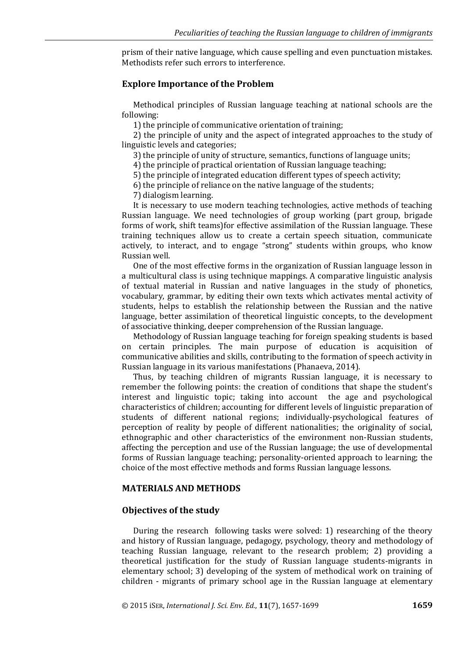prism of their native language, which cause spelling and even punctuation mistakes. Methodists refer such errors to interference.

### **Explore Importance of the Problem**

Methodical principles of Russian language teaching at national schools are the following:

1) the principle of communicative orientation of training;

2) the principle of unity and the aspect of integrated approaches to the study of linguistic levels and categories;

3) the principle of unity of structure, semantics, functions of language units;

4) the principle of practical orientation of Russian language teaching;

5) the principle of integrated education different types of speech activity;

6) the principle of reliance on the native language of the students;

7) dialogism learning.

It is necessary to use modern teaching technologies, active methods of teaching Russian language. We need technologies of group working (part group, brigade forms of work, shift teams)for effective assimilation of the Russian language. These training techniques allow us to create a certain speech situation, communicate actively, to interact, and to engage "strong" students within groups, who know Russian well.

One of the most effective forms in the organization of Russian language lesson in a multicultural class is using technique mappings. A comparative linguistic analysis of textual material in Russian and native languages in the study of phonetics, vocabulary, grammar, by editing their own texts which activates mental activity of students, helps to establish the relationship between the Russian and the native language, better assimilation of theoretical linguistic concepts, to the development of associative thinking, deeper comprehension of the Russian language.

Methodology of Russian language teaching for foreign speaking students is based on certain principles. The main purpose of education is acquisition of communicative abilities and skills, contributing to the formation of speech activity in Russian language in its various manifestations (Phanaeva, 2014).

Thus, by teaching children of migrants Russian language, it is necessary to remember the following points: the creation of conditions that shape the student's interest and linguistic topic; taking into account the age and psychological characteristics of children; accounting for different levels of linguistic preparation of students of different national regions; individually-psychological features of perception of reality by people of different nationalities; the originality of social, ethnographic and other characteristics of the environment non-Russian students, affecting the perception and use of the Russian language; the use of developmental forms of Russian language teaching; personality-oriented approach to learning; the choice of the most effective methods and forms Russian language lessons.

#### **MATERIALS AND METHODS**

#### **Objectives of the study**

During the research following tasks were solved: 1) researching of the theory and history of Russian language, pedagogy, psychology, theory and methodology of teaching Russian language, relevant to the research problem; 2) providing a theoretical justification for the study of Russian language students-migrants in elementary school; 3) developing of the system of methodical work on training of children - migrants of primary school age in the Russian language at elementary

© 2015 iSER, *International J. Sci. Env. Ed.*, **11**(7), 1657-1699 **1659**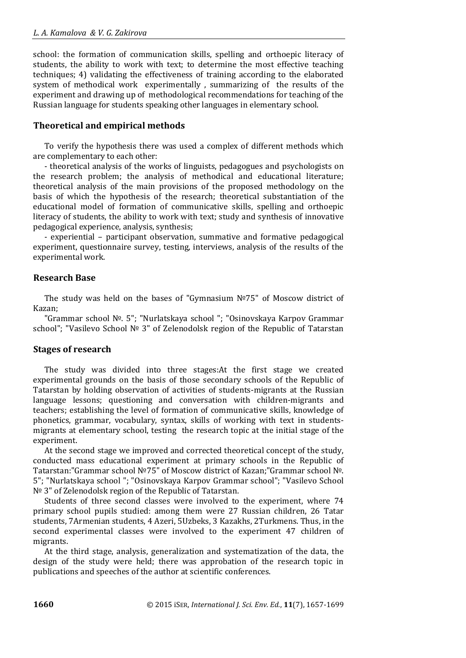school: the formation of communication skills, spelling and orthoepic literacy of students, the ability to work with text; to determine the most effective teaching techniques; 4) validating the effectiveness of training according to the elaborated system of methodical work experimentally , summarizing of the results of the experiment and drawing up of methodological recommendations for teaching of the Russian language for students speaking other languages in elementary school.

### **Theoretical and empirical methods**

To verify the hypothesis there was used a complex of different methods which are complementary to each other:

- theoretical analysis of the works of linguists, pedagogues and psychologists on the research problem; the analysis of methodical and educational literature; theoretical analysis of the main provisions of the proposed methodology on the basis of which the hypothesis of the research; theoretical substantiation of the educational model of formation of communicative skills, spelling and orthoepic literacy of students, the ability to work with text; study and synthesis of innovative pedagogical experience, analysis, synthesis;

- experiential – participant observation, summative and formative pedagogical experiment, questionnaire survey, testing, interviews, analysis of the results of the experimental work.

### **Research Base**

The study was held on the bases of "Gymnasium №75" of Moscow district of Kazan;

"Grammar school №. 5"; "Nurlatskaya school "; "Osinovskaya Karpov Grammar school"; "Vasilevo School № 3" of Zelenodolsk region of the Republic of Tatarstan

## **Stages of research**

The study was divided into three stages:At the first stage we created experimental grounds on the basis of those secondary schools of the Republic of Tatarstan by holding observation of activities of students-migrants at the Russian language lessons; questioning and conversation with children-migrants and teachers; establishing the level of formation of communicative skills, knowledge of phonetics, grammar, vocabulary, syntax, skills of working with text in studentsmigrants at elementary school, testing the research topic at the initial stage of the experiment.

At the second stage we improved and corrected theoretical concept of the study, conducted mass educational experiment at primary schools in the Republic of Tatarstan:"Grammar school №75" of Moscow district of Kazan;"Grammar school №. 5"; "Nurlatskaya school "; "Osinovskaya Karpov Grammar school"; "Vasilevo School № 3" of Zelenodolsk region of the Republic of Tatarstan.

Students of three second classes were involved to the experiment, where 74 primary school pupils studied: among them were 27 Russian children, 26 Tatar students, 7Armenian students, 4 Azeri, 5Uzbeks, 3 Kazakhs, 2Turkmens. Thus, in the second experimental classes were involved to the experiment 47 children of migrants.

At the third stage, analysis, generalization and systematization of the data, the design of the study were held; there was approbation of the research topic in publications and speeches of the author at scientific conferences.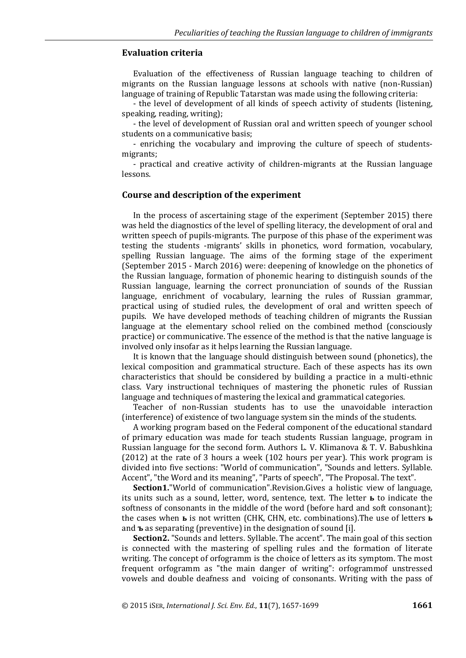### **Evaluation criteria**

Evaluation of the effectiveness of Russian language teaching to children of migrants on the Russian language lessons at schools with native (non-Russian) language of training of Republic Tatarstan was made using the following criteria:

- the level of development of all kinds of speech activity of students (listening, speaking, reading, writing);

- the level of development of Russian oral and written speech of younger school students on a communicative basis;

- enriching the vocabulary and improving the culture of speech of studentsmigrants;

- practical and creative activity of children-migrants at the Russian language lessons.

#### **Course and description of the experiment**

In the process of ascertaining stage of the experiment (September 2015) there was held the diagnostics of the level of spelling literacy, the development of oral and written speech of pupils-migrants. The purpose of this phase of the experiment was testing the students -migrants' skills in phonetics, word formation, vocabulary, spelling Russian language. The aims of the forming stage of the experiment (September 2015 - March 2016) were: deepening of knowledge on the phonetics of the Russian language, formation of phonemic hearing to distinguish sounds of the Russian language, learning the correct pronunciation of sounds of the Russian language, enrichment of vocabulary, learning the rules of Russian grammar, practical using of studied rules, the development of oral and written speech of pupils. We have developed methods of teaching children of migrants the Russian language at the elementary school relied on the combined method (consciously practice) or communicative. The essence of the method is that the native language is involved only insofar as it helps learning the Russian language.

It is known that the language should distinguish between sound (phonetics), the lexical composition and grammatical structure. Each of these aspects has its own characteristics that should be considered by building a practice in a multi-ethnic class. Vary instructional techniques of mastering the phonetic rules of Russian language and techniques of mastering the lexical and grammatical categories.

Teacher of non-Russian students has to use the unavoidable interaction (interference) of existence of two language system sin the minds of the students.

A working program based on the Federal component of the educational standard of primary education was made for teach students Russian language, program in Russian language for the second form. Authors L. V. Klimanova & T. V. Babushkina (2012) at the rate of 3 hours a week (102 hours per year). This work program is divided into five sections: "World of communication", "Sounds and letters. Syllable. Accent", "the Word and its meaning", "Parts of speech", "The Proposal. The text".

**Section1.**"World of communication".Revision.Gives a holistic view of language, its units such as a sound, letter, word, sentence, text. The letter **ь** to indicate the softness of consonants in the middle of the word (before hard and soft consonant); the cases when **ь** is not written (CHK, CHN, etc. combinations).The use of letters **ь** and **ъ** as separating (preventive) in the designation of sound [i].

**Section2.** "Sounds and letters. Syllable. The accent". The main goal of this section is connected with the mastering of spelling rules and the formation of literate writing. The concept of orfogramm is the choice of letters as its symptom. The most frequent orfogramm as "the main danger of writing": orfogrammof unstressed vowels and double deafness and voicing of consonants. Writing with the pass of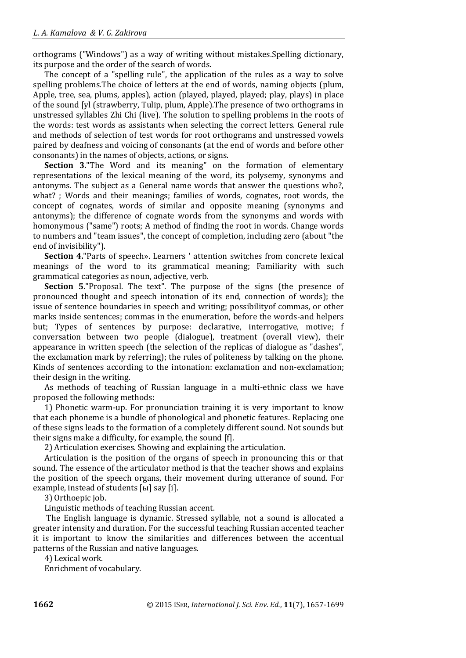orthograms ("Windows") as a way of writing without mistakes.Spelling dictionary, its purpose and the order of the search of words.

The concept of a "spelling rule", the application of the rules as a way to solve spelling problems.The choice of letters at the end of words, naming objects (plum, Apple, tree, sea, plums, apples), action (played, played, played; play, plays) in place of the sound [yl (strawberry, Tulip, plum, Apple).The presence of two orthograms in unstressed syllables Zhi Chi (live). The solution to spelling problems in the roots of the words: test words as assistants when selecting the correct letters. General rule and methods of selection of test words for root orthograms and unstressed vowels paired by deafness and voicing of consonants (at the end of words and before other consonants) in the names of objects, actions, or signs.

**Section 3.**"The Word and its meaning" on the formation of elementary representations of the lexical meaning of the word, its polysemy, synonyms and antonyms. The subject as a General name words that answer the questions who?, what? ; Words and their meanings; families of words, cognates, root words, the concept of cognates, words of similar and opposite meaning (synonyms and antonyms); the difference of cognate words from the synonyms and words with homonymous ("same") roots; A method of finding the root in words. Change words to numbers and "team issues", the concept of completion, including zero (about "the end of invisibility").

**Section 4.**"Parts of speech». Learners ' attention switches from concrete lexical meanings of the word to its grammatical meaning; Familiarity with such grammatical categories as noun, adjective, verb.

**Section 5.**"Proposal. The text". The purpose of the signs (the presence of pronounced thought and speech intonation of its end, connection of words); the issue of sentence boundaries in speech and writing; possibilityof commas, or other marks inside sentences; commas in the enumeration, before the words-and helpers but; Types of sentences by purpose: declarative, interrogative, motive; f conversation between two people (dialogue), treatment (overall view), their appearance in written speech (the selection of the replicas of dialogue as "dashes", the exclamation mark by referring); the rules of politeness by talking on the phone. Kinds of sentences according to the intonation: exclamation and non-exclamation; their design in the writing.

As methods of teaching of Russian language in a multi-ethnic class we have proposed the following methods:

1) Phonetic warm-up. For pronunciation training it is very important to know that each phoneme is a bundle of phonological and phonetic features. Replacing one of these signs leads to the formation of a completely different sound. Not sounds but their signs make a difficulty, for example, the sound [f].

2) Articulation exercises. Showing and explaining the articulation.

Articulation is the position of the organs of speech in pronouncing this or that sound. The essence of the articulator method is that the teacher shows and explains the position of the speech organs, their movement during utterance of sound. For example, instead of students [ы] say [i].

3) Orthoepic job.

Linguistic methods of teaching Russian accent.

The English language is dynamic. Stressed syllable, not a sound is allocated a greater intensity and duration. For the successful teaching Russian accented teacher it is important to know the similarities and differences between the accentual patterns of the Russian and native languages.

4) Lexical work.

Enrichment of vocabulary.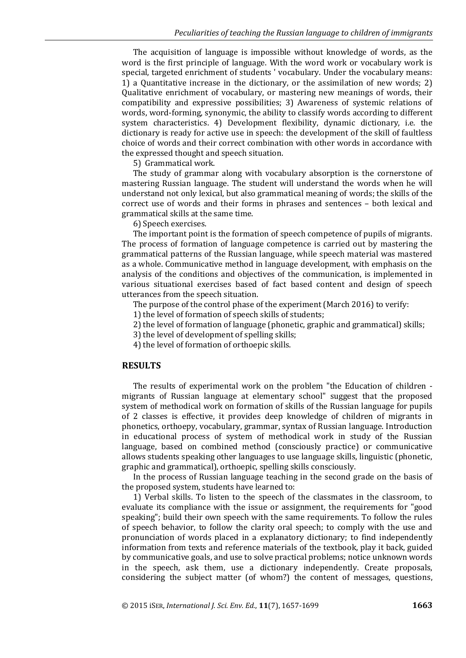The acquisition of language is impossible without knowledge of words, as the word is the first principle of language. With the word work or vocabulary work is special, targeted enrichment of students ' vocabulary. Under the vocabulary means: 1) a Quantitative increase in the dictionary, or the assimilation of new words; 2) Qualitative enrichment of vocabulary, or mastering new meanings of words, their compatibility and expressive possibilities; 3) Awareness of systemic relations of words, word-forming, synonymic, the ability to classify words according to different system characteristics. 4) Development flexibility, dynamic dictionary, i.e. the dictionary is ready for active use in speech: the development of the skill of faultless choice of words and their correct combination with other words in accordance with the expressed thought and speech situation.

5) Grammatical work.

The study of grammar along with vocabulary absorption is the cornerstone of mastering Russian language. The student will understand the words when he will understand not only lexical, but also grammatical meaning of words; the skills of the correct use of words and their forms in phrases and sentences – both lexical and grammatical skills at the same time.

6) Speech exercises.

The important point is the formation of speech competence of pupils of migrants. The process of formation of language competence is carried out by mastering the grammatical patterns of the Russian language, while speech material was mastered as a whole. Communicative method in language development, with emphasis on the analysis of the conditions and objectives of the communication, is implemented in various situational exercises based of fact based content and design of speech utterances from the speech situation.

The purpose of the control phase of the experiment (March 2016) to verify:

1) the level of formation of speech skills of students;

- 2) the level of formation of language (phonetic, graphic and grammatical) skills;
- 3) the level of development of spelling skills;
- 4) the level of formation of orthoepic skills.

#### **RESULTS**

The results of experimental work on the problem "the Education of children migrants of Russian language at elementary school" suggest that the proposed system of methodical work on formation of skills of the Russian language for pupils of 2 classes is effective, it provides deep knowledge of children of migrants in phonetics, orthoepy, vocabulary, grammar, syntax of Russian language. Introduction in educational process of system of methodical work in study of the Russian language, based on combined method (consciously practice) or communicative allows students speaking other languages to use language skills, linguistic (phonetic, graphic and grammatical), orthoepic, spelling skills consciously.

In the process of Russian language teaching in the second grade on the basis of the proposed system, students have learned to:

1) Verbal skills. To listen to the speech of the classmates in the classroom, to evaluate its compliance with the issue or assignment, the requirements for "good speaking"; build their own speech with the same requirements. To follow the rules of speech behavior, to follow the clarity oral speech; to comply with the use and pronunciation of words placed in a explanatory dictionary; to find independently information from texts and reference materials of the textbook, play it back, guided by communicative goals, and use to solve practical problems; notice unknown words in the speech, ask them, use a dictionary independently. Create proposals, considering the subject matter (of whom?) the content of messages, questions,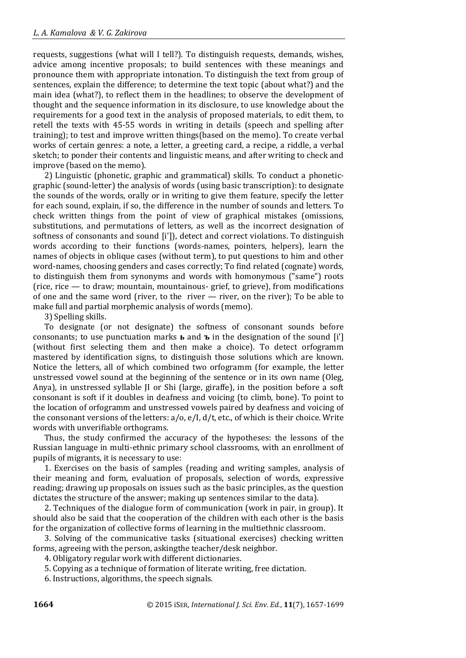requests, suggestions (what will I tell?). To distinguish requests, demands, wishes, advice among incentive proposals; to build sentences with these meanings and pronounce them with appropriate intonation. To distinguish the text from group of sentences, explain the difference; to determine the text topic (about what?) and the main idea (what?), to reflect them in the headlines; to observe the development of thought and the sequence information in its disclosure, to use knowledge about the requirements for a good text in the analysis of proposed materials, to edit them, to retell the texts with 45-55 words in writing in details (speech and spelling after training); to test and improve written things(based on the memo). To create verbal works of certain genres: a note, a letter, a greeting card, a recipe, a riddle, a verbal sketch; to ponder their contents and linguistic means, and after writing to check and improve (based on the memo).

2) Linguistic (phonetic, graphic and grammatical) skills. To conduct a phoneticgraphic (sound-letter) the analysis of words (using basic transcription): to designate the sounds of the words, orally or in writing to give them feature, specify the letter for each sound, explain, if so, the difference in the number of sounds and letters. To check written things from the point of view of graphical mistakes (omissions, substitutions, and permutations of letters, as well as the incorrect designation of softness of consonants and sound [i']), detect and correct violations. To distinguish words according to their functions (words-names, pointers, helpers), learn the names of objects in oblique cases (without term), to put questions to him and other word-names, choosing genders and cases correctly; To find related (cognate) words, to distinguish them from synonyms and words with homonymous ("same") roots (rice, rice — to draw; mountain, mountainous- grief, to grieve), from modifications of one and the same word (river, to the river — river, on the river); To be able to make full and partial morphemic analysis of words (memo).

3) Spelling skills.

To designate (or not designate) the softness of consonant sounds before consonants; to use punctuation marks **ь** and **ъ** in the designation of the sound [i'] (without first selecting them and then make a choice). To detect orfogramm mastered by identification signs, to distinguish those solutions which are known. Notice the letters, all of which combined two orfogramm (for example, the letter unstressed vowel sound at the beginning of the sentence or in its own name (Oleg, Anya), in unstressed syllable JI or Shi (large, giraffe), in the position before a soft consonant is soft if it doubles in deafness and voicing (to climb, bone). To point to the location of orfogramm and unstressed vowels paired by deafness and voicing of the consonant versions of the letters: a/o, e/I, d/t, etc., of which is their choice. Write words with unverifiable orthograms.

Thus, the study confirmed the accuracy of the hypotheses: the lessons of the Russian language in multi-ethnic primary school classrooms, with an enrollment of pupils of migrants, it is necessary to use:

1. Exercises on the basis of samples (reading and writing samples, analysis of their meaning and form, evaluation of proposals, selection of words, expressive reading; drawing up proposals on issues such as the basic principles, as the question dictates the structure of the answer; making up sentences similar to the data).

2. Techniques of the dialogue form of communication (work in pair, in group). It should also be said that the cooperation of the children with each other is the basis for the organization of collective forms of learning in the multiethnic classroom.

3. Solving of the communicative tasks (situational exercises) checking written forms, agreeing with the person, askingthe teacher/desk neighbor.

4. Obligatory regular work with different dictionaries.

5. Copying as a technique of formation of literate writing, free dictation.

6. Instructions, algorithms, the speech signals.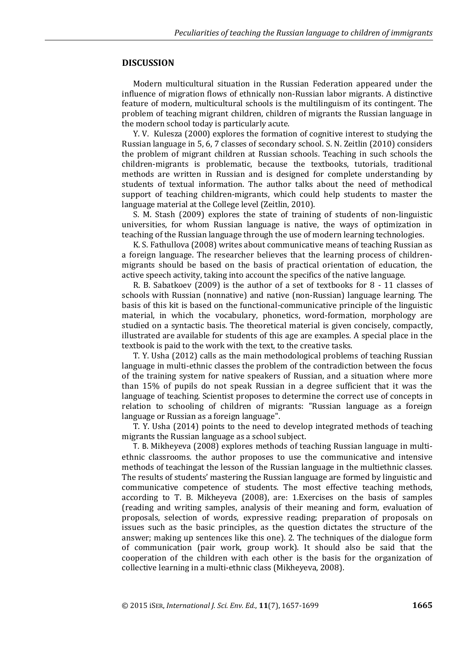#### **DISCUSSION**

Modern multicultural situation in the Russian Federation appeared under the influence of migration flows of ethnically non-Russian labor migrants. A distinctive feature of modern, multicultural schools is the multilinguism of its contingent. The problem of teaching migrant children, children of migrants the Russian language in the modern school today is particularly acute.

Y. V. Kulesza (2000) explores the formation of cognitive interest to studying the Russian language in 5, 6, 7 classes of secondary school. S. N. Zeitlin (2010) considers the problem of migrant children at Russian schools. Teaching in such schools the children-migrants is problematic, because the textbooks, tutorials, traditional methods are written in Russian and is designed for complete understanding by students of textual information. The author talks about the need of methodical support of teaching children-migrants, which could help students to master the language material at the College level (Zeitlin, 2010).

S. M. Stash (2009) explores the state of training of students of non-linguistic universities, for whom Russian language is native, the ways of optimization in teaching of the Russian language through the use of modern learning technologies.

K. S. Fathullova (2008) writes about communicative means of teaching Russian as a foreign language. The researcher believes that the learning process of childrenmigrants should be based on the basis of practical orientation of education, the active speech activity, taking into account the specifics of the native language.

R. B. Sabatkoev (2009) is the author of a set of textbooks for 8 - 11 classes of schools with Russian (nonnative) and native (non-Russian) language learning. The basis of this kit is based on the functional-communicative principle of the linguistic material, in which the vocabulary, phonetics, word-formation, morphology are studied on a syntactic basis. The theoretical material is given concisely, compactly, illustrated are available for students of this age are examples. A special place in the textbook is paid to the work with the text, to the creative tasks.

T. Y. Usha (2012) calls as the main methodological problems of teaching Russian language in multi-ethnic classes the problem of the contradiction between the focus of the training system for native speakers of Russian, and a situation where more than 15% of pupils do not speak Russian in a degree sufficient that it was the language of teaching. Scientist proposes to determine the correct use of concepts in relation to schooling of children of migrants: "Russian language as a foreign language or Russian as a foreign language".

T. Y. Usha (2014) points to the need to develop integrated methods of teaching migrants the Russian language as a school subject.

T. B. Mikheyeva (2008) explores methods of teaching Russian language in multiethnic classrooms. the author proposes to use the communicative and intensive methods of teachingat the lesson of the Russian language in the multiethnic classes. The results of students' mastering the Russian language are formed by linguistic and communicative competence of students. The most effective teaching methods, according to T. B. Mikheyeva (2008), are: 1.Exercises on the basis of samples (reading and writing samples, analysis of their meaning and form, evaluation of proposals, selection of words, expressive reading; preparation of proposals on issues such as the basic principles, as the question dictates the structure of the answer; making up sentences like this one). 2. The techniques of the dialogue form of communication (pair work, group work). It should also be said that the cooperation of the children with each other is the basis for the organization of collective learning in a multi-ethnic class (Mikheyeva, 2008).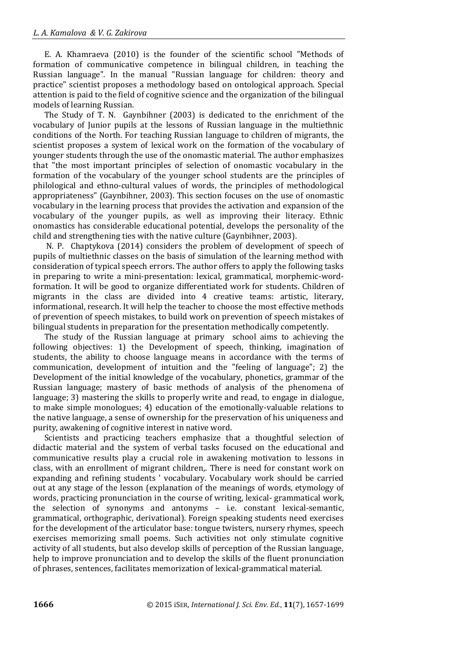E. A. Khamraeva (2010) is the founder of the scientific school "Methods of formation of communicative competence in bilingual children, in teaching the Russian language". In the manual "Russian language for children: theory and practice" scientist proposes a methodology based on ontological approach. Special attention is paid to the field of cognitive science and the organization of the bilingual models of learning Russian.

The Study of T. N. Gaynbihner (2003) is dedicated to the enrichment of the vocabulary of Junior pupils at the lessons of Russian language in the multiethnic conditions of the North. For teaching Russian language to children of migrants, the scientist proposes a system of lexical work on the formation of the vocabulary of younger students through the use of the onomastic material. The author emphasizes that "the most important principles of selection of onomastic vocabulary in the formation of the vocabulary of the younger school students are the principles of philological and ethno-cultural values of words, the principles of methodological appropriateness" (Gaynbihner, 2003). This section focuses on the use of onomastic vocabulary in the learning process that provides the activation and expansion of the vocabulary of the younger pupils, as well as improving their literacy. Ethnic onomastics has considerable educational potential, develops the personality of the child and strengthening ties with the native culture (Gaynbihner, 2003).

N. P. Chaptykova (2014) considers the problem of development of speech of pupils of multiethnic classes on the basis of simulation of the learning method with consideration of typical speech errors. The author offers to apply the following tasks in preparing to write a mini-presentation: lexical, grammatical, morphemic-wordformation. It will be good to organize differentiated work for students. Children of migrants in the class are divided into 4 creative teams: artistic, literary, informational, research. It will help the teacher to choose the most effective methods of prevention of speech mistakes, to build work on prevention of speech mistakes of bilingual students in preparation for the presentation methodically competently.

The study of the Russian language at primary school aims to achieving the following objectives: 1) the Development of speech, thinking, imagination of students, the ability to choose language means in accordance with the terms of communication, development of intuition and the "feeling of language"; 2) the Development of the initial knowledge of the vocabulary, phonetics, grammar of the Russian language; mastery of basic methods of analysis of the phenomena of language; 3) mastering the skills to properly write and read, to engage in dialogue, to make simple monologues; 4) education of the emotionally-valuable relations to the native language, a sense of ownership for the preservation of his uniqueness and purity, awakening of cognitive interest in native word.

Scientists and practicing teachers emphasize that a thoughtful selection of didactic material and the system of verbal tasks focused on the educational and communicative results play a crucial role in awakening motivation to lessons in class, with an enrollment of migrant children,. There is need for constant work on expanding and refining students ' vocabulary. Vocabulary work should be carried out at any stage of the lesson (explanation of the meanings of words, etymology of words, practicing pronunciation in the course of writing, lexical- grammatical work, the selection of synonyms and antonyms – i.e. constant lexical-semantic, grammatical, orthographic, derivational). Foreign speaking students need exercises for the development of the articulator base: tongue twisters, nursery rhymes, speech exercises memorizing small poems. Such activities not only stimulate cognitive activity of all students, but also develop skills of perception of the Russian language, help to improve pronunciation and to develop the skills of the fluent pronunciation of phrases, sentences, facilitates memorization of lexical-grammatical material.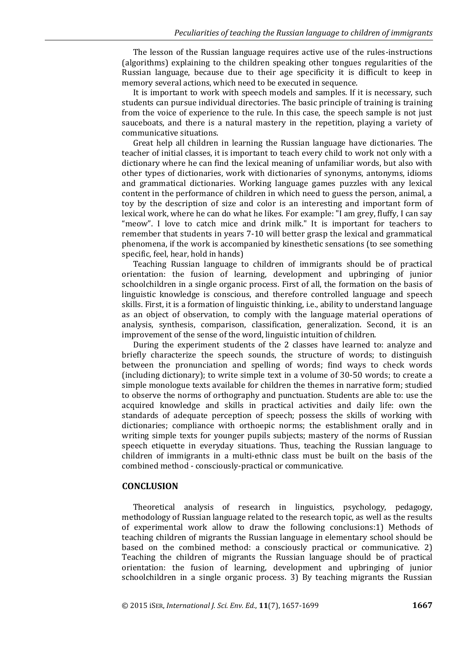The lesson of the Russian language requires active use of the rules-instructions (algorithms) explaining to the children speaking other tongues regularities of the Russian language, because due to their age specificity it is difficult to keep in memory several actions, which need to be executed in sequence.

It is important to work with speech models and samples. If it is necessary, such students can pursue individual directories. The basic principle of training is training from the voice of experience to the rule. In this case, the speech sample is not just sauceboats, and there is a natural mastery in the repetition, playing a variety of communicative situations.

Great help all children in learning the Russian language have dictionaries. The teacher of initial classes, it is important to teach every child to work not only with a dictionary where he can find the lexical meaning of unfamiliar words, but also with other types of dictionaries, work with dictionaries of synonyms, antonyms, idioms and grammatical dictionaries. Working language games puzzles with any lexical content in the performance of children in which need to guess the person, animal, a toy by the description of size and color is an interesting and important form of lexical work, where he can do what he likes. For example: "I am grey, fluffy, I can say "meow". I love to catch mice and drink milk." It is important for teachers to remember that students in years 7-10 will better grasp the lexical and grammatical phenomena, if the work is accompanied by kinesthetic sensations (to see something specific, feel, hear, hold in hands)

Teaching Russian language to children of immigrants should be of practical orientation: the fusion of learning, development and upbringing of junior schoolchildren in a single organic process. First of all, the formation on the basis of linguistic knowledge is conscious, and therefore controlled language and speech skills. First, it is a formation of linguistic thinking, i.e., ability to understand language as an object of observation, to comply with the language material operations of analysis, synthesis, comparison, classification, generalization. Second, it is an improvement of the sense of the word, linguistic intuition of children.

During the experiment students of the 2 classes have learned to: analyze and briefly characterize the speech sounds, the structure of words; to distinguish between the pronunciation and spelling of words; find ways to check words (including dictionary); to write simple text in a volume of 30-50 words; to create a simple monologue texts available for children the themes in narrative form; studied to observe the norms of orthography and punctuation. Students are able to: use the acquired knowledge and skills in practical activities and daily life: own the standards of adequate perception of speech; possess the skills of working with dictionaries; compliance with orthoepic norms; the establishment orally and in writing simple texts for younger pupils subjects; mastery of the norms of Russian speech etiquette in everyday situations. Thus, teaching the Russian language to children of immigrants in a multi-ethnic class must be built on the basis of the combined method - consciously-practical or communicative.

#### **CONCLUSION**

Theoretical analysis of research in linguistics, psychology, pedagogy, methodology of Russian language related to the research topic, as well as the results of experimental work allow to draw the following conclusions:1) Methods of teaching children of migrants the Russian language in elementary school should be based on the combined method: a consciously practical or communicative. 2) Teaching the children of migrants the Russian language should be of practical orientation: the fusion of learning, development and upbringing of junior schoolchildren in a single organic process. 3) By teaching migrants the Russian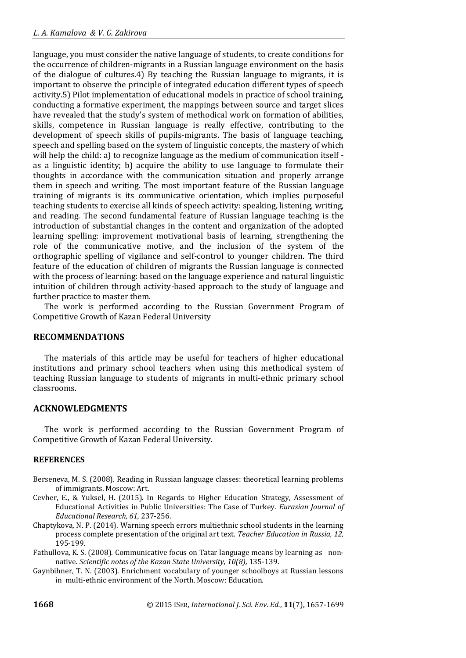language, you must consider the native language of students, to create conditions for the occurrence of children-migrants in a Russian language environment on the basis of the dialogue of cultures.4) By teaching the Russian language to migrants, it is important to observe the principle of integrated education different types of speech activity.5) Pilot implementation of educational models in practice of school training, conducting a formative experiment, the mappings between source and target slices have revealed that the study's system of methodical work on formation of abilities, skills, competence in Russian language is really effective, contributing to the development of speech skills of pupils-migrants. The basis of language teaching, speech and spelling based on the system of linguistic concepts, the mastery of which will help the child: a) to recognize language as the medium of communication itself as a linguistic identity; b) acquire the ability to use language to formulate their thoughts in accordance with the communication situation and properly arrange them in speech and writing. The most important feature of the Russian language training of migrants is its communicative orientation, which implies purposeful teaching students to exercise all kinds of speech activity: speaking, listening, writing, and reading. The second fundamental feature of Russian language teaching is the introduction of substantial changes in the content and organization of the adopted learning spelling: improvement motivational basis of learning, strengthening the role of the communicative motive, and the inclusion of the system of the orthographic spelling of vigilance and self-control to younger children. The third feature of the education of children of migrants the Russian language is connected with the process of learning: based on the language experience and natural linguistic intuition of children through activity-based approach to the study of language and further practice to master them.

The work is performed according to the Russian Government Program of Competitive Growth of Kazan Federal University

#### **RECOMMENDATIONS**

The materials of this article may be useful for teachers of higher educational institutions and primary school teachers when using this methodical system of teaching Russian language to students of migrants in multi-ethnic primary school classrooms.

## **ACKNOWLEDGMENTS**

The work is performed according to the Russian Government Program of Competitive Growth of Kazan Federal University.

## **REFERENCES**

- Berseneva, M. S. (2008). Reading in Russian language classes: theoretical learning problems of immigrants. Moscow: Art.
- Cevher, E., & Yuksel, H. (2015). In Regards to Higher Education Strategy, Assessment of Educational Activities in Public Universities: The Case of Turkey. *Eurasian Journal of Educational Research, 61,* 237-256.
- Chaptykova, N. P. (2014). Warning speech errors multiethnic school students in the learning process complete presentation of the original art text. *Teacher Education in Russia, 12,* 195-199.
- Fathullova, K. S. (2008). Communicative focus on Tatar language means by learning as nonnative. *Scientific notes of the Kazan State University, 10(8),* 135-139.
- Gaynbihner, T. N. (2003). Enrichment vocabulary of younger schoolboys at Russian lessons in multi-ethnic environment of the North. Moscow: Education.